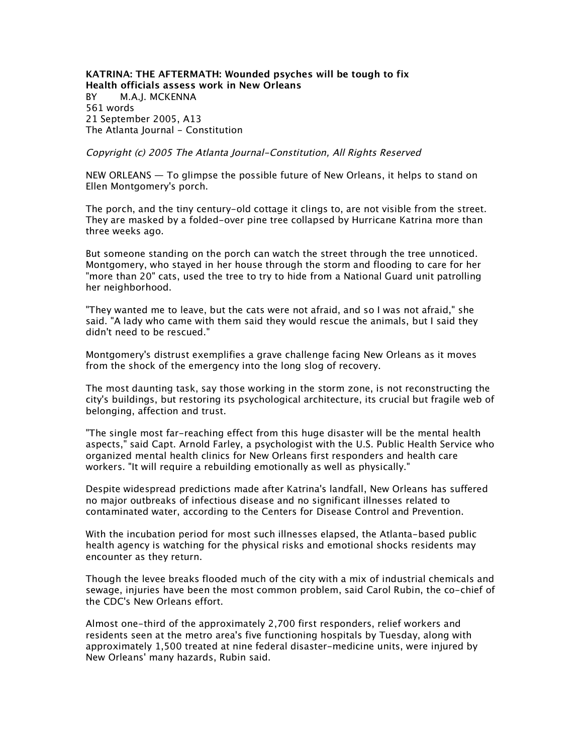**KATRINA: THE AFTERMATH: Wounded psyches will be tough to fix Health officials assess work in New Orleans** *BY M.A.J. MCKENNA 561 words 21 September 2005, A13 The Atlanta Journal - Constitution*

Copyright (c) 2005 The Atlanta Journal-Constitution, All Rights Reserved

*NEW ORLEANS — To glimpse the possible future of New Orleans, it helps to stand on Ellen Montgomery's porch.*

*The porch, and the tiny century-old cottage it clings to, are not visible from the street. They are masked by a folded-over pine tree collapsed by Hurricane Katrina more than three weeks ago.*

*But someone standing on the porch can watch the street through the tree unnoticed. Montgomery, who stayed in her house through the storm and flooding to care for her "more than 20" cats, used the tree to try to hide from a National Guard unit patrolling her neighborhood.*

*"They wanted me to leave, but the cats were not afraid, and so I was not afraid," she said. "A lady who came with them said they would rescue the animals, but I said they didn't need to be rescued."*

*Montgomery's distrust exemplifies a grave challenge facing New Orleans as it moves from the shock of the emergency into the long slog of recovery.*

*The most daunting task, say those working in the storm zone, is not reconstructing the city's buildings, but restoring its psychological architecture, its crucial but fragile web of belonging, affection and trust.*

*"The single most far-reaching effect from this huge disaster will be the mental health aspects," said Capt. Arnold Farley, a psychologist with the U.S. Public Health Service who organized mental health clinics for New Orleans first responders and health care workers. "It will require a rebuilding emotionally as well as physically."*

*Despite widespread predictions made after Katrina's landfall, New Orleans has suffered no major outbreaks of infectious disease and no significant illnesses related to contaminated water, according to the Centers for Disease Control and Prevention.*

*With the incubation period for most such illnesses elapsed, the Atlanta-based public health agency is watching for the physical risks and emotional shocks residents may encounter as they return.*

*Though the levee breaks flooded much of the city with a mix of industrial chemicals and sewage, injuries have been the most common problem, said Carol Rubin, the co-chief of the CDC's New Orleans effort.*

*Almost one-third of the approximately 2,700 first responders, relief workers and residents seen at the metro area's five functioning hospitals by Tuesday, along with approximately 1,500 treated at nine federal disaster-medicine units, were injured by New Orleans' many hazards, Rubin said.*